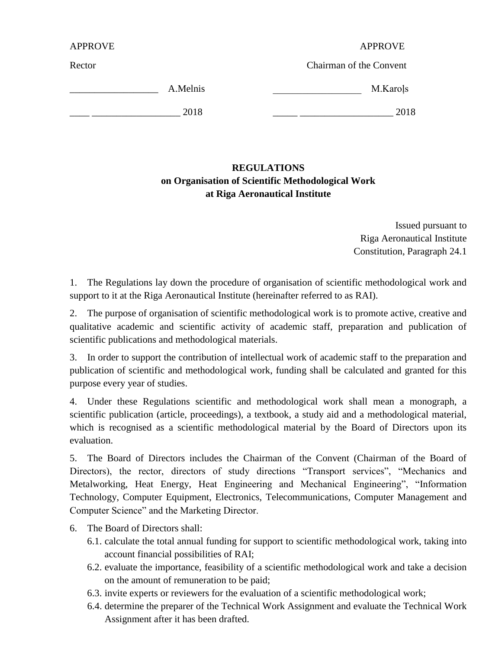| <b>APPROVE</b> |          | <b>APPROVE</b>          |
|----------------|----------|-------------------------|
| Rector         |          | Chairman of the Convent |
|                | A.Melnis | M.Karols                |
|                | 2018     | 2018                    |

## **REGULATIONS on Organisation of Scientific Methodological Work at Riga Aeronautical Institute**

Issued pursuant to Riga Aeronautical Institute Constitution, Paragraph 24.1

1. The Regulations lay down the procedure of organisation of scientific methodological work and support to it at the Riga Aeronautical Institute (hereinafter referred to as RAI).

2. The purpose of organisation of scientific methodological work is to promote active, creative and qualitative academic and scientific activity of academic staff, preparation and publication of scientific publications and methodological materials.

3. In order to support the contribution of intellectual work of academic staff to the preparation and publication of scientific and methodological work, funding shall be calculated and granted for this purpose every year of studies.

4. Under these Regulations scientific and methodological work shall mean a monograph, a scientific publication (article, proceedings), a textbook, a study aid and a methodological material, which is recognised as a scientific methodological material by the Board of Directors upon its evaluation.

5. The Board of Directors includes the Chairman of the Convent (Chairman of the Board of Directors), the rector, directors of study directions "Transport services", "Mechanics and Metalworking, Heat Energy, Heat Engineering and Mechanical Engineering", "Information Technology, Computer Equipment, Electronics, Telecommunications, Computer Management and Computer Science" and the Marketing Director.

- 6. The Board of Directors shall:
	- 6.1. calculate the total annual funding for support to scientific methodological work, taking into account financial possibilities of RAI;
	- 6.2. evaluate the importance, feasibility of a scientific methodological work and take a decision on the amount of remuneration to be paid;
	- 6.3. invite experts or reviewers for the evaluation of a scientific methodological work;
	- 6.4. determine the preparer of the Technical Work Assignment and evaluate the Technical Work Assignment after it has been drafted.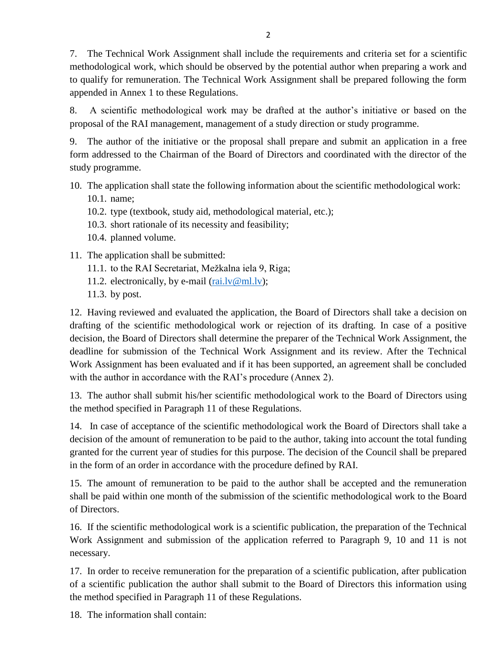7. The Technical Work Assignment shall include the requirements and criteria set for a scientific methodological work, which should be observed by the potential author when preparing a work and to qualify for remuneration. The Technical Work Assignment shall be prepared following the form appended in Annex 1 to these Regulations.

8. A scientific methodological work may be drafted at the author's initiative or based on the proposal of the RAI management, management of a study direction or study programme.

9. The author of the initiative or the proposal shall prepare and submit an application in a free form addressed to the Chairman of the Board of Directors and coordinated with the director of the study programme.

- 10. The application shall state the following information about the scientific methodological work: 10.1. name;
	- 10.2. type (textbook, study aid, methodological material, etc.);
	- 10.3. short rationale of its necessity and feasibility;
	- 10.4. planned volume.
- 11. The application shall be submitted:
	- 11.1. to the RAI Secretariat, Mežkalna iela 9, Riga;
	- 11.2. electronically, by e-mail  $(\text{rai.lv@ml.lv});$
	- 11.3. by post.

12. Having reviewed and evaluated the application, the Board of Directors shall take a decision on drafting of the scientific methodological work or rejection of its drafting. In case of a positive decision, the Board of Directors shall determine the preparer of the Technical Work Assignment, the deadline for submission of the Technical Work Assignment and its review. After the Technical Work Assignment has been evaluated and if it has been supported, an agreement shall be concluded with the author in accordance with the RAI's procedure (Annex 2).

13. The author shall submit his/her scientific methodological work to the Board of Directors using the method specified in Paragraph 11 of these Regulations.

14. In case of acceptance of the scientific methodological work the Board of Directors shall take a decision of the amount of remuneration to be paid to the author, taking into account the total funding granted for the current year of studies for this purpose. The decision of the Council shall be prepared in the form of an order in accordance with the procedure defined by RAI.

15. The amount of remuneration to be paid to the author shall be accepted and the remuneration shall be paid within one month of the submission of the scientific methodological work to the Board of Directors.

16. If the scientific methodological work is a scientific publication, the preparation of the Technical Work Assignment and submission of the application referred to Paragraph 9, 10 and 11 is not necessary.

17. In order to receive remuneration for the preparation of a scientific publication, after publication of a scientific publication the author shall submit to the Board of Directors this information using the method specified in Paragraph 11 of these Regulations.

18. The information shall contain: